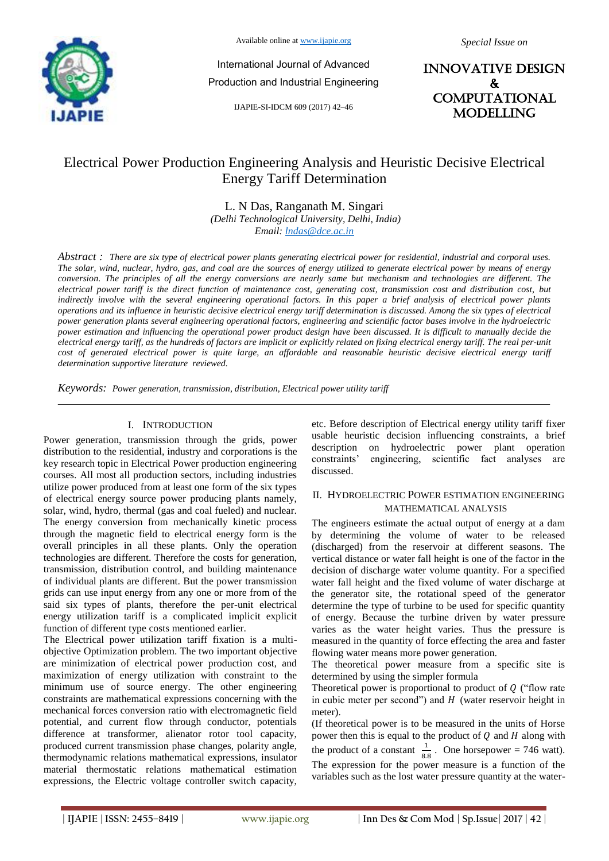

Available online at www.ijapie.org

International Journal of Advanced Production and Industrial Engineering

IJAPIE-SI-IDCM 609 (2017) 42–46

INNOVATIVE DESIGN & **COMPUTATIONAL MODELLING** 

# Electrical Power Production Engineering Analysis and Heuristic Decisive Electrical Energy Tariff Determination

L. N Das, Ranganath M. Singari *(Delhi Technological University, Delhi, India) Email: lndas@dce.ac.in*

*Abstract : There are six type of electrical power plants generating electrical power for residential, industrial and corporal uses. The solar, wind, nuclear, hydro, gas, and coal are the sources of energy utilized to generate electrical power by means of energy conversion. The principles of all the energy conversions are nearly same but mechanism and technologies are different. The electrical power tariff is the direct function of maintenance cost, generating cost, transmission cost and distribution cost, but indirectly involve with the several engineering operational factors. In this paper a brief analysis of electrical power plants operations and its influence in heuristic decisive electrical energy tariff determination is discussed. Among the six types of electrical power generation plants several engineering operational factors, engineering and scientific factor bases involve in the hydroelectric power estimation and influencing the operational power product design have been discussed. It is difficult to manually decide the electrical energy tariff, as the hundreds of factors are implicit or explicitly related on fixing electrical energy tariff. The real per-unit cost of generated electrical power is quite large, an affordable and reasonable heuristic decisive electrical energy tariff determination supportive literature reviewed.* 

*Keywords: Power generation, transmission, distribution, Electrical power utility tariff*

### I. INTRODUCTION

Power generation, transmission through the grids, power distribution to the residential, industry and corporations is the key research topic in Electrical Power production engineering courses. All most all production sectors, including industries utilize power produced from at least one form of the six types of electrical energy source power producing plants namely, solar, wind, hydro, thermal (gas and coal fueled) and nuclear. The energy conversion from mechanically kinetic process through the magnetic field to electrical energy form is the overall principles in all these plants. Only the operation technologies are different. Therefore the costs for generation, transmission, distribution control, and building maintenance of individual plants are different. But the power transmission grids can use input energy from any one or more from of the said six types of plants, therefore the per-unit electrical energy utilization tariff is a complicated implicit explicit function of different type costs mentioned earlier.

The Electrical power utilization tariff fixation is a multiobjective Optimization problem. The two important objective are minimization of electrical power production cost, and maximization of energy utilization with constraint to the minimum use of source energy. The other engineering constraints are mathematical expressions concerning with the mechanical forces conversion ratio with electromagnetic field potential, and current flow through conductor, potentials difference at transformer, alienator rotor tool capacity, produced current transmission phase changes, polarity angle, thermodynamic relations mathematical expressions, insulator material thermostatic relations mathematical estimation expressions, the Electric voltage controller switch capacity,

etc. Before description of Electrical energy utility tariff fixer usable heuristic decision influencing constraints, a brief description on hydroelectric power plant operation constraints' engineering, scientific fact analyses are discussed.

### II. HYDROELECTRIC POWER ESTIMATION ENGINEERING MATHEMATICAL ANALYSIS

The engineers estimate the actual output of energy at a dam by determining the volume of water to be released (discharged) from the reservoir at different seasons. The vertical distance or water fall height is one of the factor in the decision of discharge water volume quantity. For a specified water fall height and the fixed volume of water discharge at the generator site, the rotational speed of the generator determine the type of turbine to be used for specific quantity of energy. Because the turbine driven by water pressure varies as the water height varies. Thus the pressure is measured in the quantity of force effecting the area and faster flowing water means more power generation.

The theoretical power measure from a specific site is determined by using the simpler formula

Theoretical power is proportional to product of  $Q$  ("flow rate") in cubic meter per second") and  $H$  (water reservoir height in meter).

(If theoretical power is to be measured in the units of Horse power then this is equal to the product of  $Q$  and  $H$  along with the product of a constant  $\frac{1}{8.8}$ . One horsepower = 746 watt). The expression for the power measure is a function of the variables such as the lost water pressure quantity at the water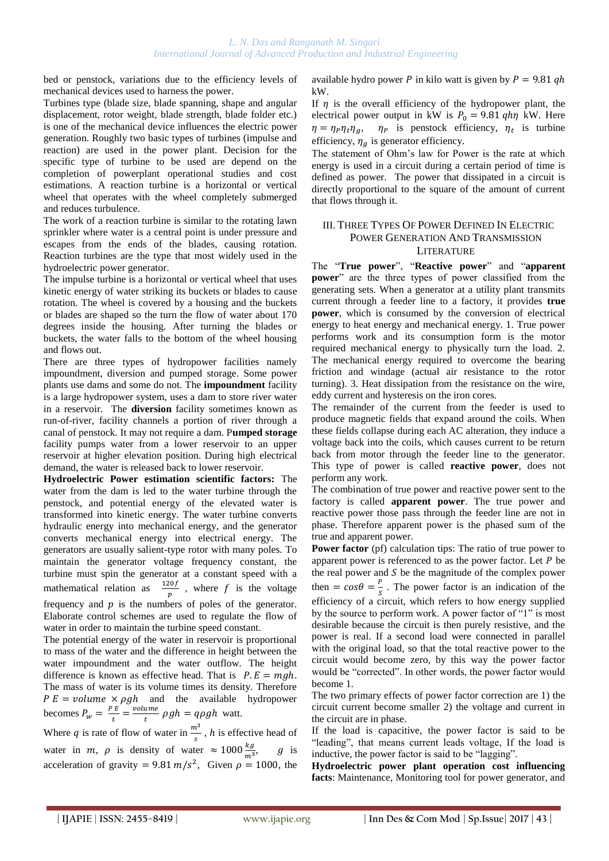bed or penstock, variations due to the efficiency levels of mechanical devices used to harness the power.

Turbines type (blade size, blade spanning, shape and angular displacement, rotor weight, blade strength, blade folder etc.) is one of the mechanical device influences the electric power generation. Roughly two basic types of turbines (impulse and reaction) are used in the power plant. Decision for the specific type of turbine to be used are depend on the completion of powerplant operational studies and cost estimations. A reaction turbine is a horizontal or vertical wheel that operates with the wheel completely submerged and reduces turbulence.

The work of a reaction turbine is similar to the rotating lawn sprinkler where water is a central point is under pressure and escapes from the ends of the blades, causing rotation. Reaction turbines are the type that most widely used in the hydroelectric power generator.

The impulse turbine is a horizontal or vertical wheel that uses kinetic energy of water striking its buckets or blades to cause rotation. The wheel is covered by a housing and the buckets or blades are shaped so the turn the flow of water about 170 degrees inside the housing. After turning the blades or buckets, the water falls to the bottom of the wheel housing and flows out.

There are three types of hydropower facilities namely impoundment, diversion and pumped storage. Some power plants use dams and some do not. The **impoundment** facility is a large hydropower system, uses a dam to store river water in a reservoir. The **diversion** facility sometimes known as run-of-river, facility channels a portion of river through a canal of penstock. It may not require a dam. P**umped storage** facility pumps water from a lower reservoir to an upper reservoir at higher elevation position. During high electrical demand, the water is released back to lower reservoir.

**Hydroelectric Power estimation scientific factors:** The water from the dam is led to the water turbine through the penstock, and potential energy of the elevated water is transformed into kinetic energy. The water turbine converts hydraulic energy into mechanical energy, and the generator converts mechanical energy into electrical energy. The generators are usually salient-type rotor with many poles. To maintain the generator voltage frequency constant, the turbine must spin the generator at a constant speed with a mathematical relation as  $\frac{1}{1}$  $\frac{\log p}{p}$ , where f is the voltage frequency and  $p$  is the numbers of poles of the generator. Elaborate control schemes are used to regulate the flow of water in order to maintain the turbine speed constant.

The potential energy of the water in reservoir is proportional to mass of the water and the difference in height between the water impoundment and the water outflow. The height difference is known as effective head. That is  $P.E = mgh$ . The mass of water is its volume times its density. Therefore  $P E = volume \times \rho gh$  and the available hydropower becomes  $P_w = \frac{P}{q}$  $\frac{E}{t} = \frac{v}{t}$  $\frac{a_{\text{m}}}{t}$   $\rho gh = q \rho gh$  watt.

Where q is rate of flow of water in  $\frac{m}{s}$ , h is effective head of water in m,  $\rho$  is density of water  $\approx 1000 \frac{\kappa g}{m^3}$ , g is acceleration of gravity = 9.81  $m/s^2$ , Given  $\rho = 1000$ , the available hydro power P in kilo watt is given by  $P = 9.81$  qh kW.

If  $\eta$  is the overall efficiency of the hydropower plant, the electrical power output in kW is  $P_0 = 9.81$  *qhn* kW. Here  $\eta = \eta_P \eta_t \eta_a$ ,  $\eta_P$  is penstock efficiency,  $\eta_t$  is turbine efficiency,  $\eta_a$  is generator efficiency.

The statement of Ohm's law for Power is the rate at which energy is used in a circuit during a certain period of time is defined as power. The power that dissipated in a circuit is directly proportional to the square of the amount of current that flows through it.

## III. THREE TYPES OF POWER DEFINED IN ELECTRIC POWER GENERATION AND TRANSMISSION **LITERATURE**

The "**True power**", "**Reactive power**" and "**apparent power**" are the three types of power classified from the generating sets. When a generator at a utility plant transmits current through a feeder line to a factory, it provides **true power**, which is consumed by the conversion of electrical energy to heat energy and mechanical energy. 1. True power performs work and its consumption form is the motor required mechanical energy to physically turn the load. 2. The mechanical energy required to overcome the bearing friction and windage (actual air resistance to the rotor turning). 3. Heat dissipation from the resistance on the wire, eddy current and hysteresis on the iron cores.

The remainder of the current from the feeder is used to produce magnetic fields that expand around the coils. When these fields collapse during each AC alteration, they induce a voltage back into the coils, which causes current to be return back from motor through the feeder line to the generator. This type of power is called **reactive power**, does not perform any work.

The combination of true power and reactive power sent to the factory is called **apparent power**. The true power and reactive power those pass through the feeder line are not in phase. Therefore apparent power is the phased sum of the true and apparent power.

**Power factor** (pf) calculation tips: The ratio of true power to apparent power is referenced to as the power factor. Let  $P$  be the real power and  $S$  be the magnitude of the complex power then =  $cos\theta = \frac{p}{a}$  $\frac{r}{s}$ . The power factor is an indication of the efficiency of a circuit, which refers to how energy supplied by the source to perform work. A power factor of "1" is most desirable because the circuit is then purely resistive, and the power is real. If a second load were connected in parallel with the original load, so that the total reactive power to the circuit would become zero, by this way the power factor would be "corrected". In other words, the power factor would become 1.

The two primary effects of power factor correction are 1) the circuit current become smaller 2) the voltage and current in the circuit are in phase.

If the load is capacitive, the power factor is said to be "leading", that means current leads voltage, If the load is inductive, the power factor is said to be "lagging".

**Hydroelectric power plant operation cost influencing facts**: Maintenance, Monitoring tool for power generator, and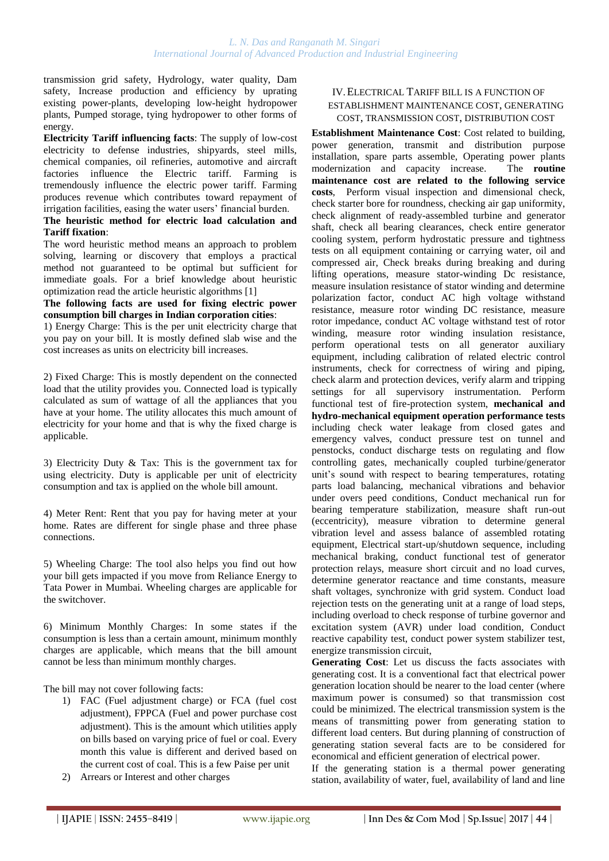transmission grid safety, Hydrology, water quality, Dam safety, Increase production and efficiency by uprating existing power-plants, developing low-height hydropower plants, Pumped storage, tying hydropower to other forms of energy.

**Electricity Tariff influencing facts**: The supply of low-cost electricity to defense industries, shipyards, steel mills, chemical companies, oil refineries, automotive and aircraft factories influence the Electric tariff. Farming is tremendously influence the electric power tariff. Farming produces revenue which contributes toward repayment of irrigation facilities, easing the water users' financial burden.

# **The heuristic method for electric load calculation and Tariff fixation**:

The word heuristic method means an approach to problem solving, learning or discovery that employs a practical method not guaranteed to be optimal but sufficient for immediate goals. For a brief knowledge about heuristic optimization read the article heuristic algorithms [1]

## **The following facts are used for fixing electric power consumption bill charges in Indian corporation cities**:

1) Energy Charge: This is the per unit electricity charge that you pay on your bill. It is mostly defined slab wise and the cost increases as units on electricity bill increases.

2) Fixed Charge: This is mostly dependent on the connected load that the utility provides you. Connected load is typically calculated as sum of wattage of all the appliances that you have at your home. The utility allocates this much amount of electricity for your home and that is why the fixed charge is applicable.

3) Electricity Duty & Tax: This is the government tax for using electricity. Duty is applicable per unit of electricity consumption and tax is applied on the whole bill amount.

4) Meter Rent: Rent that you pay for having meter at your home. Rates are different for single phase and three phase connections.

5) Wheeling Charge: The tool also helps you find out how your bill gets impacted if you move from Reliance Energy to Tata Power in Mumbai. Wheeling charges are applicable for the switchover.

6) Minimum Monthly Charges: In some states if the consumption is less than a certain amount, minimum monthly charges are applicable, which means that the bill amount cannot be less than minimum monthly charges.

The bill may not cover following facts:

- 1) FAC (Fuel adjustment charge) or FCA (fuel cost adjustment), FPPCA (Fuel and power purchase cost adjustment). This is the amount which utilities apply on bills based on varying price of fuel or coal. Every month this value is different and derived based on the current cost of coal. This is a few Paise per unit
- 2) Arrears or Interest and other charges

## IV.ELECTRICAL TARIFF BILL IS A FUNCTION OF ESTABLISHMENT MAINTENANCE COST, GENERATING COST, TRANSMISSION COST, DISTRIBUTION COST

**Establishment Maintenance Cost**: Cost related to building, power generation, transmit and distribution purpose installation, spare parts assemble, Operating power plants modernization and capacity increase. The **routine maintenance cost are related to the following service costs**, Perform visual inspection and dimensional check, check starter bore for roundness, checking air gap uniformity, check alignment of ready-assembled turbine and generator shaft, check all bearing clearances, check entire generator cooling system, perform hydrostatic pressure and tightness tests on all equipment containing or carrying water, oil and compressed air, Check breaks during breaking and during lifting operations, measure stator-winding Dc resistance, measure insulation resistance of stator winding and determine polarization factor, conduct AC high voltage withstand resistance, measure rotor winding DC resistance, measure rotor impedance, conduct AC voltage withstand test of rotor winding, measure rotor winding insulation resistance, perform operational tests on all generator auxiliary equipment, including calibration of related electric control instruments, check for correctness of wiring and piping, check alarm and protection devices, verify alarm and tripping settings for all supervisory instrumentation. Perform functional test of fire-protection system, **mechanical and hydro-mechanical equipment operation performance tests** including check water leakage from closed gates and emergency valves, conduct pressure test on tunnel and penstocks, conduct discharge tests on regulating and flow controlling gates, mechanically coupled turbine/generator unit's sound with respect to bearing temperatures, rotating parts load balancing, mechanical vibrations and behavior under overs peed conditions, Conduct mechanical run for bearing temperature stabilization, measure shaft run-out (eccentricity), measure vibration to determine general vibration level and assess balance of assembled rotating equipment, Electrical start-up/shutdown sequence, including mechanical braking, conduct functional test of generator protection relays, measure short circuit and no load curves, determine generator reactance and time constants, measure shaft voltages, synchronize with grid system. Conduct load rejection tests on the generating unit at a range of load steps, including overload to check response of turbine governor and excitation system (AVR) under load condition, Conduct reactive capability test, conduct power system stabilizer test, energize transmission circuit,

**Generating Cost**: Let us discuss the facts associates with generating cost. It is a conventional fact that electrical power generation location should be nearer to the load center (where maximum power is consumed) so that transmission cost could be minimized. The electrical transmission system is the means of transmitting power from generating station to different load centers. But during planning of construction of generating station several facts are to be considered for economical and efficient generation of electrical power.

If the generating station is a thermal power generating station, availability of water, fuel, availability of land and line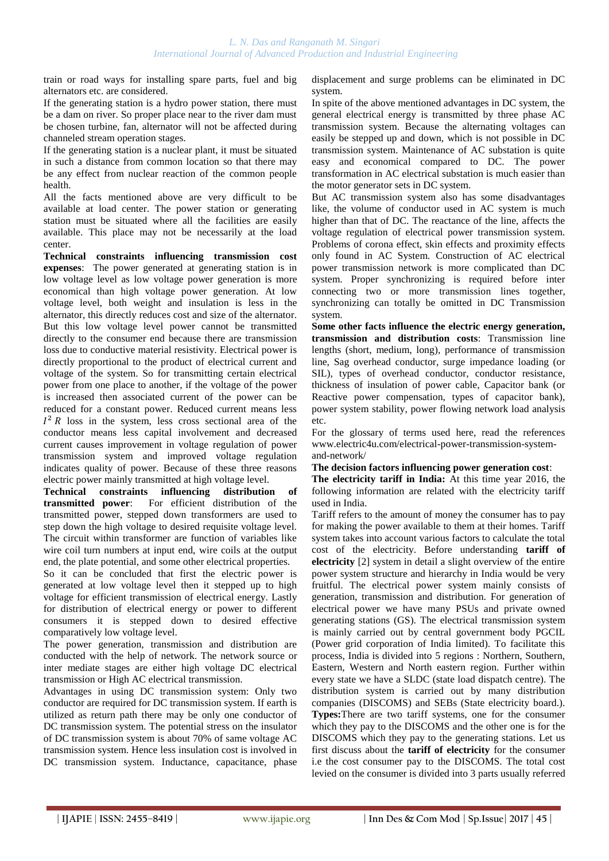train or road ways for installing spare parts, fuel and big alternators etc. are considered.

If the generating station is a hydro power station, there must be a dam on river. So proper place near to the river dam must be chosen turbine, fan, alternator will not be affected during channeled stream operation stages.

If the generating station is a nuclear plant, it must be situated in such a distance from common location so that there may be any effect from nuclear reaction of the common people health.

All the facts mentioned above are very difficult to be available at load center. The power station or generating station must be situated where all the facilities are easily available. This place may not be necessarily at the load center.

**Technical constraints influencing transmission cost expenses**: The power generated at generating station is in low voltage level as low voltage power generation is more economical than high voltage power generation. At low voltage level, both weight and insulation is less in the alternator, this directly reduces cost and size of the alternator. But this low voltage level power cannot be transmitted directly to the consumer end because there are transmission loss due to conductive material resistivity. Electrical power is directly proportional to the product of electrical current and voltage of the system. So for transmitting certain electrical power from one place to another, if the voltage of the power is increased then associated current of the power can be reduced for a constant power. Reduced current means less  $I<sup>2</sup> R$  loss in the system, less cross sectional area of the conductor means less capital involvement and decreased current causes improvement in voltage regulation of power transmission system and improved voltage regulation indicates quality of power. Because of these three reasons electric power mainly transmitted at high voltage level.

**Technical constraints influencing distribution of transmitted power**: For efficient distribution of the transmitted power, stepped down transformers are used to step down the high voltage to desired requisite voltage level. The circuit within transformer are function of variables like wire coil turn numbers at input end, wire coils at the output end, the plate potential, and some other electrical properties.

So it can be concluded that first the electric power is generated at low voltage level then it stepped up to high voltage for efficient transmission of electrical energy. Lastly for distribution of electrical energy or power to different consumers it is stepped down to desired effective comparatively low voltage level.

The power generation, transmission and distribution are conducted with the help of network. The network source or inter mediate stages are either high voltage DC electrical transmission or High AC electrical transmission.

Advantages in using DC transmission system: Only two conductor are required for DC transmission system. If earth is utilized as return path there may be only one conductor of DC transmission system. The potential stress on the insulator of DC transmission system is about 70% of same voltage AC transmission system. Hence less insulation cost is involved in DC transmission system. Inductance, capacitance, phase displacement and surge problems can be eliminated in DC system.

In spite of the above mentioned advantages in DC system, the general electrical energy is transmitted by three phase AC transmission system. Because the alternating voltages can easily be stepped up and down, which is not possible in DC transmission system. Maintenance of AC substation is quite easy and economical compared to DC. The power transformation in AC electrical substation is much easier than the motor generator sets in DC system.

But AC transmission system also has some disadvantages like, the volume of conductor used in AC system is much higher than that of DC. The reactance of the line, affects the voltage regulation of electrical power transmission system. Problems of corona effect, skin effects and proximity effects only found in AC System. Construction of AC electrical power transmission network is more complicated than DC system. Proper synchronizing is required before inter connecting two or more transmission lines together, synchronizing can totally be omitted in DC Transmission system.

**Some other facts influence the electric energy generation, transmission and distribution costs**: Transmission line lengths (short, medium, long), performance of transmission line, Sag overhead conductor, surge impedance loading (or SIL), types of overhead conductor, conductor resistance, thickness of insulation of power cable, Capacitor bank (or Reactive power compensation, types of capacitor bank), power system stability, power flowing network load analysis etc.

For the glossary of terms used here, read the references www.electric4u.com/electrical-power-transmission-systemand-network/

### **The decision factors influencing power generation cost**:

**The electricity tariff in India:** At this time year 2016, the following information are related with the electricity tariff used in India.

Tariff refers to the amount of money the consumer has to pay for making the power available to them at their homes. Tariff system takes into account various factors to calculate the total cost of the electricity. Before understanding **tariff of electricity** [2] system in detail a slight overview of the entire power system structure and hierarchy in India would be very fruitful. The [electrical power](http://www.electrical4u.com/electric-power-single-and-three-phase/) system mainly consists of generation, transmission and distribution. For [generation of](http://www.electrical4u.com/electric-power-generation/)  [electrical power](http://www.electrical4u.com/electric-power-generation/) we have many PSUs and private owned generating stations (GS). The [electrical transmission system](http://www.electrical4u.com/electrical-power-transmission-system-and-network/) is mainly carried out by central government body PGCIL (Power grid corporation of India limited). To facilitate this process, India is divided into 5 regions : Northern, Southern, Eastern, Western and North eastern region. Further within every state we have a SLDC (state load dispatch centre). The distribution system is carried out by many distribution companies (DISCOMS) and SEBs (State electricity board.). **Types:**There are two tariff systems, one for the consumer which they pay to the DISCOMS and the other one is for the DISCOMS which they pay to the generating stations. Let us first discuss about the **tariff of electricity** for the consumer i.e the cost consumer pay to the DISCOMS. The total cost levied on the consumer is divided into 3 parts usually referred